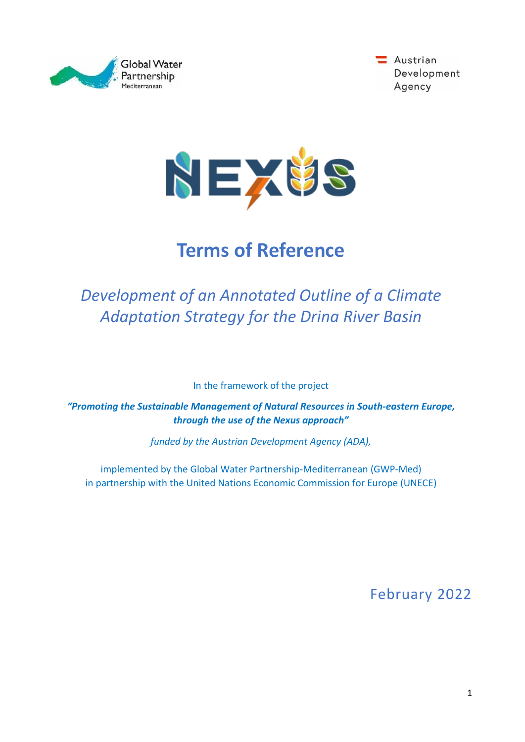





# **Terms of Reference**

# *Development of an Annotated Outline of a Climate Adaptation Strategy for the Drina River Basin*

In the framework of the project

*"Promoting the Sustainable Management of Natural Resources in South-eastern Europe, through the use of the Nexus approach"*

*funded by the Austrian Development Agency (ADA),*

implemented by the Global Water Partnership-Mediterranean (GWP-Med) in partnership with the United Nations Economic Commission for Europe (UNECE)

February 2022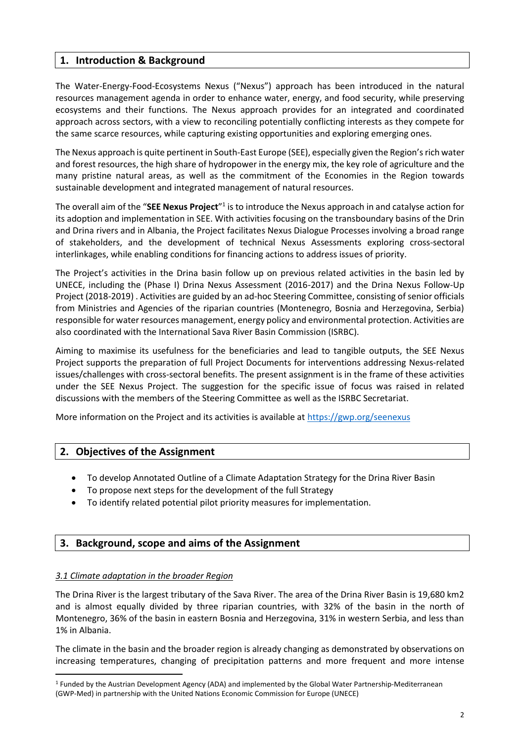## **1. Introduction & Background**

The Water-Energy-Food-Ecosystems Nexus ("Nexus") approach has been introduced in the natural resources management agenda in order to enhance water, energy, and food security, while preserving ecosystems and their functions. The Nexus approach provides for an integrated and coordinated approach across sectors, with a view to reconciling potentially conflicting interests as they compete for the same scarce resources, while capturing existing opportunities and exploring emerging ones.

The Nexus approach is quite pertinent in South-East Europe (SEE), especially given the Region's rich water and forest resources, the high share of hydropower in the energy mix, the key role of agriculture and the many pristine natural areas, as well as the commitment of the Economies in the Region towards sustainable development and integrated management of natural resources.

The overall aim of the "SEE Nexus Project"<sup>1</sup> is to introduce the Nexus approach in and catalyse action for its adoption and implementation in SEE. With activities focusing on the transboundary basins of the Drin and Drina rivers and in Albania, the Project facilitates Nexus Dialogue Processes involving a broad range of stakeholders, and the development of technical Nexus Assessments exploring cross-sectoral interlinkages, while enabling conditions for financing actions to address issues of priority.

The Project's activities in the Drina basin follow up on previous related activities in the basin led by UNECE, including the (Phase I) Drina Nexus Assessment (2016-2017) and the Drina Nexus Follow-Up Project (2018-2019) . Activities are guided by an ad-hoc Steering Committee, consisting of senior officials from Ministries and Agencies of the riparian countries (Montenegro, Bosnia and Herzegovina, Serbia) responsible for water resources management, energy policy and environmental protection. Activities are also coordinated with the International Sava River Basin Commission (ISRBC).

Aiming to maximise its usefulness for the beneficiaries and lead to tangible outputs, the SEE Nexus Project supports the preparation of full Project Documents for interventions addressing Nexus-related issues/challenges with cross-sectoral benefits. The present assignment is in the frame of these activities under the SEE Nexus Project. The suggestion for the specific issue of focus was raised in related discussions with the members of the Steering Committee as well as the ISRBC Secretariat.

More information on the Project and its activities is available a[t https://gwp.org/seenexus](https://gwp.org/seenexus)

#### **2. Objectives of the Assignment**

- To develop Annotated Outline of a Climate Adaptation Strategy for the Drina River Basin
- To propose next steps for the development of the full Strategy
- To identify related potential pilot priority measures for implementation.

# **3. Background, scope and aims of the Assignment**

#### *3.1 Climate adaptation in the broader Region*

The Drina River is the largest tributary of the Sava River. The area of the Drina River Basin is 19,680 km2 and is almost equally divided by three riparian countries, with 32% of the basin in the north of Montenegro, 36% of the basin in eastern Bosnia and Herzegovina, 31% in western Serbia, and less than 1% in Albania.

The climate in the basin and the broader region is already changing as demonstrated by observations on increasing temperatures, changing of precipitation patterns and more frequent and more intense

<sup>1</sup> Funded by the Austrian Development Agency (ADA) and implemented by the Global Water Partnership-Mediterranean (GWP-Med) in partnership with the United Nations Economic Commission for Europe (UNECE)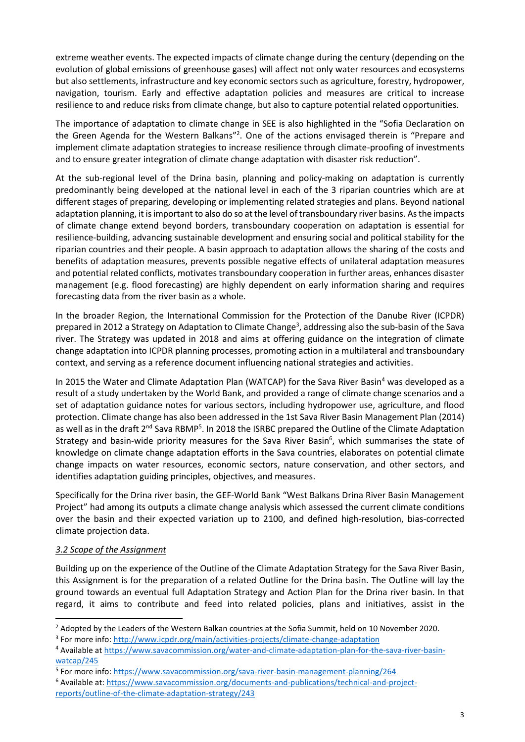extreme weather events. The expected impacts of climate change during the century (depending on the evolution of global emissions of greenhouse gases) will affect not only water resources and ecosystems but also settlements, infrastructure and key economic sectors such as agriculture, forestry, hydropower, navigation, tourism. Early and effective adaptation policies and measures are critical to increase resilience to and reduce risks from climate change, but also to capture potential related opportunities.

The importance of adaptation to climate change in SEE is also highlighted in the "Sofia Declaration on the Green Agenda for the Western Balkans"<sup>2</sup>. One of the actions envisaged therein is "Prepare and implement climate adaptation strategies to increase resilience through climate-proofing of investments and to ensure greater integration of climate change adaptation with disaster risk reduction".

At the sub-regional level of the Drina basin, planning and policy-making on adaptation is currently predominantly being developed at the national level in each of the 3 riparian countries which are at different stages of preparing, developing or implementing related strategies and plans. Beyond national adaptation planning, it is important to also do so at the level of transboundary river basins. As the impacts of climate change extend beyond borders, transboundary cooperation on adaptation is essential for resilience-building, advancing sustainable development and ensuring social and political stability for the riparian countries and their people. A basin approach to adaptation allows the sharing of the costs and benefits of adaptation measures, prevents possible negative effects of unilateral adaptation measures and potential related conflicts, motivates transboundary cooperation in further areas, enhances disaster management (e.g. flood forecasting) are highly dependent on early information sharing and requires forecasting data from the river basin as a whole.

In the broader Region, the International Commission for the Protection of the Danube River (ICPDR) prepared in 2012 a Strategy on Adaptation to Climate Change<sup>3</sup>, addressing also the sub-basin of the Sava river. The Strategy was updated in 2018 and aims at offering guidance on the integration of climate change adaptation into ICPDR planning processes, promoting action in a multilateral and transboundary context, and serving as a reference document influencing national strategies and activities.

In 2015 the Water and Climate Adaptation Plan (WATCAP) for the Sava River Basin<sup>4</sup> was developed as a result of a study undertaken by the World Bank, and provided a range of climate change scenarios and a set of adaptation guidance notes for various sectors, including hydropower use, agriculture, and flood protection. Climate change has also been addressed in the 1st Sava River Basin Management Plan (2014) as well as in the draft 2<sup>nd</sup> Sava RBMP<sup>5</sup>. In 2018 the ISRBC prepared the Outline of the Climate Adaptation Strategy and basin-wide priority measures for the Sava River Basin<sup>6</sup>, which summarises the state of knowledge on climate change adaptation efforts in the Sava countries, elaborates on potential climate change impacts on water resources, economic sectors, nature conservation, and other sectors, and identifies adaptation guiding principles, objectives, and measures.

Specifically for the Drina river basin, the GEF-World Bank "West Balkans Drina River Basin Management Project" had among its outputs a climate change analysis which assessed the current climate conditions over the basin and their expected variation up to 2100, and defined high-resolution, bias-corrected climate projection data.

#### *3.2 Scope of the Assignment*

Building up on the experience of the Outline of the Climate Adaptation Strategy for the Sava River Basin, this Assignment is for the preparation of a related Outline for the Drina basin. The Outline will lay the ground towards an eventual full Adaptation Strategy and Action Plan for the Drina river basin. In that regard, it aims to contribute and feed into related policies, plans and initiatives, assist in the

<sup>&</sup>lt;sup>2</sup> Adopted by the Leaders of the Western Balkan countries at the Sofia Summit, held on 10 November 2020.

<sup>&</sup>lt;sup>3</sup> For more info:<http://www.icpdr.org/main/activities-projects/climate-change-adaptation>

<sup>4</sup> Available at [https://www.savacommission.org/water-and-climate-adaptation-plan-for-the-sava-river-basin](https://www.savacommission.org/water-and-climate-adaptation-plan-for-the-sava-river-basin-watcap/245)[watcap/245](https://www.savacommission.org/water-and-climate-adaptation-plan-for-the-sava-river-basin-watcap/245)

<sup>&</sup>lt;sup>5</sup> For more info:<https://www.savacommission.org/sava-river-basin-management-planning/264>

<sup>6</sup> Available at: [https://www.savacommission.org/documents-and-publications/technical-and-project](https://www.savacommission.org/documents-and-publications/technical-and-project-reports/outline-of-the-climate-adaptation-strategy/243)[reports/outline-of-the-climate-adaptation-strategy/243](https://www.savacommission.org/documents-and-publications/technical-and-project-reports/outline-of-the-climate-adaptation-strategy/243)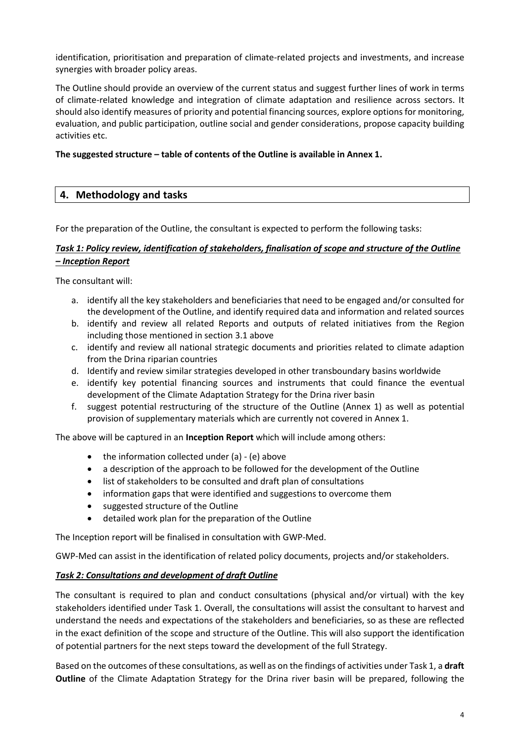identification, prioritisation and preparation of climate-related projects and investments, and increase synergies with broader policy areas.

The Outline should provide an overview of the current status and suggest further lines of work in terms of climate-related knowledge and integration of climate adaptation and resilience across sectors. It should also identify measures of priority and potential financing sources, explore options for monitoring, evaluation, and public participation, outline social and gender considerations, propose capacity building activities etc.

#### **The suggested structure – table of contents of the Outline is available in Annex 1.**

# **4. Methodology and tasks**

For the preparation of the Outline, the consultant is expected to perform the following tasks:

#### *Task 1: Policy review, identification of stakeholders, finalisation of scope and structure of the Outline – Inception Report*

The consultant will:

- a. identify all the key stakeholders and beneficiaries that need to be engaged and/or consulted for the development of the Outline, and identify required data and information and related sources
- b. identify and review all related Reports and outputs of related initiatives from the Region including those mentioned in section 3.1 above
- c. identify and review all national strategic documents and priorities related to climate adaption from the Drina riparian countries
- d. Identify and review similar strategies developed in other transboundary basins worldwide
- e. identify key potential financing sources and instruments that could finance the eventual development of the Climate Adaptation Strategy for the Drina river basin
- f. suggest potential restructuring of the structure of the Outline (Annex 1) as well as potential provision of supplementary materials which are currently not covered in Annex 1.

The above will be captured in an **Inception Report** which will include among others:

- $\bullet$  the information collected under (a) (e) above
- a description of the approach to be followed for the development of the Outline
- list of stakeholders to be consulted and draft plan of consultations
- information gaps that were identified and suggestions to overcome them
- suggested structure of the Outline
- detailed work plan for the preparation of the Outline

The Inception report will be finalised in consultation with GWP-Med.

GWP-Med can assist in the identification of related policy documents, projects and/or stakeholders.

#### *Task 2: Consultations and development of draft Outline*

The consultant is required to plan and conduct consultations (physical and/or virtual) with the key stakeholders identified under Task 1. Overall, the consultations will assist the consultant to harvest and understand the needs and expectations of the stakeholders and beneficiaries, so as these are reflected in the exact definition of the scope and structure of the Outline. This will also support the identification of potential partners for the next steps toward the development of the full Strategy.

Based on the outcomes of these consultations, as well as on the findings of activities under Task 1, a **draft Outline** of the Climate Adaptation Strategy for the Drina river basin will be prepared, following the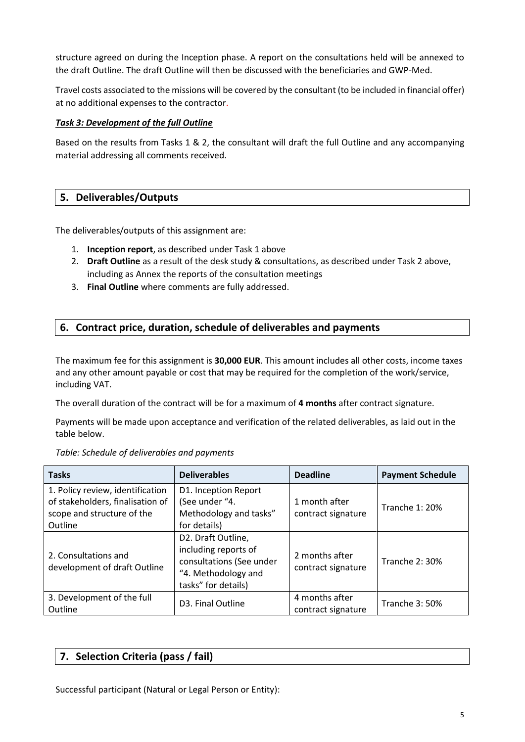structure agreed on during the Inception phase. A report on the consultations held will be annexed to the draft Outline. The draft Outline will then be discussed with the beneficiaries and GWP-Med.

Travel costs associated to the missions will be covered by the consultant (to be included in financial offer) at no additional expenses to the contractor.

#### *Task 3: Development of the full Outline*

Based on the results from Tasks 1 & 2, the consultant will draft the full Outline and any accompanying material addressing all comments received.

# **5. Deliverables/Outputs**

The deliverables/outputs of this assignment are:

- 1. **Inception report**, as described under Task 1 above
- 2. **Draft Outline** as a result of the desk study & consultations, as described under Task 2 above, including as Annex the reports of the consultation meetings
- 3. **Final Outline** where comments are fully addressed.

# **6. Contract price, duration, schedule of deliverables and payments**

The maximum fee for this assignment is **30,000 EUR**. This amount includes all other costs, income taxes and any other amount payable or cost that may be required for the completion of the work/service, including VAT.

The overall duration of the contract will be for a maximum of **4 months** after contract signature.

Payments will be made upon acceptance and verification of the related deliverables, as laid out in the table below.

| <b>Tasks</b>                                                                                                  | <b>Deliverables</b>                                                                                                  | <b>Deadline</b>                      | <b>Payment Schedule</b> |
|---------------------------------------------------------------------------------------------------------------|----------------------------------------------------------------------------------------------------------------------|--------------------------------------|-------------------------|
| 1. Policy review, identification<br>of stakeholders, finalisation of<br>scope and structure of the<br>Outline | D1. Inception Report<br>(See under "4.<br>Methodology and tasks"<br>for details)                                     | 1 month after<br>contract signature  | <b>Tranche 1: 20%</b>   |
| 2. Consultations and<br>development of draft Outline                                                          | D2. Draft Outline,<br>including reports of<br>consultations (See under<br>"4. Methodology and<br>tasks" for details) | 2 months after<br>contract signature | <b>Tranche 2: 30%</b>   |
| 3. Development of the full<br>Outline                                                                         | D3. Final Outline                                                                                                    | 4 months after<br>contract signature | <b>Tranche 3: 50%</b>   |

*Table: Schedule of deliverables and payments*

# **7. Selection Criteria (pass / fail)**

Successful participant (Natural or Legal Person or Entity):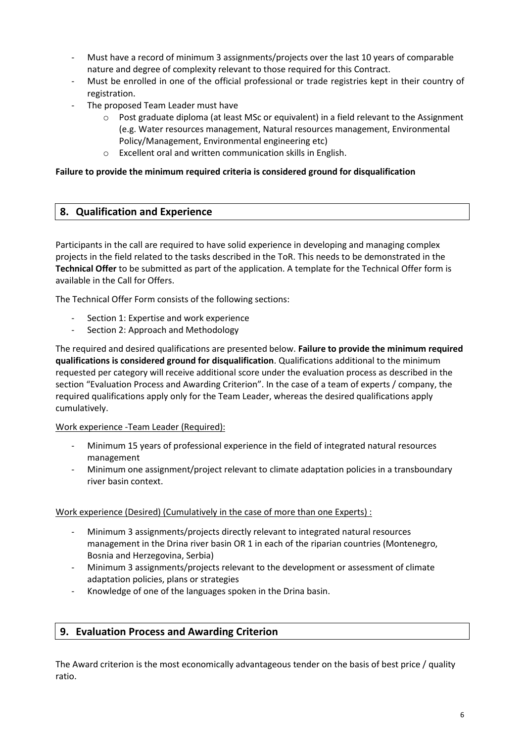- Must have a record of minimum 3 assignments/projects over the last 10 years of comparable nature and degree of complexity relevant to those required for this Contract.
- Must be enrolled in one of the official professional or trade registries kept in their country of registration.
- The proposed Team Leader must have
	- $\circ$  Post graduate diploma (at least MSc or equivalent) in a field relevant to the Assignment (e.g. Water resources management, Natural resources management, Environmental Policy/Management, Environmental engineering etc)
	- o Excellent oral and written communication skills in English.

#### **Failure to provide the minimum required criteria is considered ground for disqualification**

# **8. Qualification and Experience**

Participants in the call are required to have solid experience in developing and managing complex projects in the field related to the tasks described in the ToR. This needs to be demonstrated in the **Technical Offer** to be submitted as part of the application. A template for the Technical Offer form is available in the Call for Offers.

The Technical Offer Form consists of the following sections:

- Section 1: Expertise and work experience
- Section 2: Approach and Methodology

The required and desired qualifications are presented below. **Failure to provide the minimum required qualifications is considered ground for disqualification**. Qualifications additional to the minimum requested per category will receive additional score under the evaluation process as described in the section "Evaluation Process and Awarding Criterion". In the case of a team of experts / company, the required qualifications apply only for the Team Leader, whereas the desired qualifications apply cumulatively.

#### Work experience -Team Leader (Required):

- Minimum 15 years of professional experience in the field of integrated natural resources management
- Minimum one assignment/project relevant to climate adaptation policies in a transboundary river basin context.

#### Work experience (Desired) (Cumulatively in the case of more than one Experts) :

- Minimum 3 assignments/projects directly relevant to integrated natural resources management in the Drina river basin OR 1 in each of the riparian countries (Montenegro, Bosnia and Herzegovina, Serbia)
- Minimum 3 assignments/projects relevant to the development or assessment of climate adaptation policies, plans or strategies
- Knowledge of one of the languages spoken in the Drina basin.

#### **9. Evaluation Process and Awarding Criterion**

The Award criterion is the most economically advantageous tender on the basis of best price / quality ratio.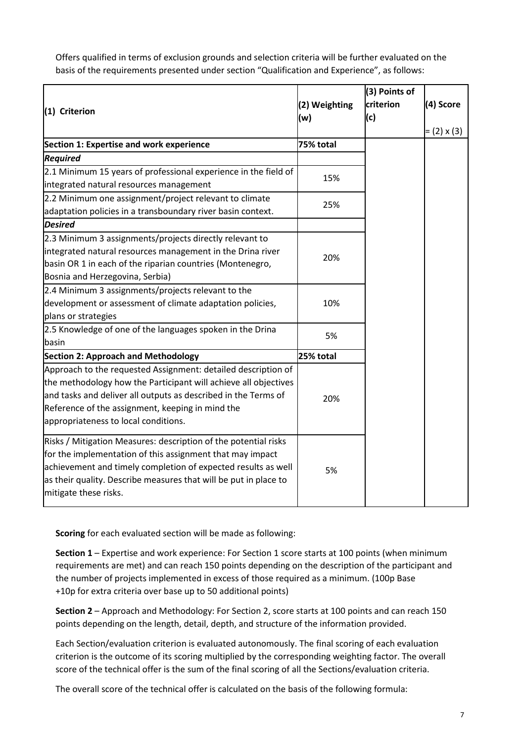Offers qualified in terms of exclusion grounds and selection criteria will be further evaluated on the basis of the requirements presented under section "Qualification and Experience", as follows:

| (1) Criterion                                                                                                                                                                                                                                                                                  | (2) Weighting<br>(w) | (3) Points of<br>criterion<br>(c) | (4) Score<br>$= (2) \times (3)$ |
|------------------------------------------------------------------------------------------------------------------------------------------------------------------------------------------------------------------------------------------------------------------------------------------------|----------------------|-----------------------------------|---------------------------------|
| Section 1: Expertise and work experience                                                                                                                                                                                                                                                       | 75% total            |                                   |                                 |
| <b>Required</b>                                                                                                                                                                                                                                                                                |                      |                                   |                                 |
| 2.1 Minimum 15 years of professional experience in the field of<br>integrated natural resources management                                                                                                                                                                                     | 15%                  |                                   |                                 |
| 2.2 Minimum one assignment/project relevant to climate<br>adaptation policies in a transboundary river basin context.                                                                                                                                                                          | 25%                  |                                   |                                 |
| <b>Desired</b>                                                                                                                                                                                                                                                                                 |                      |                                   |                                 |
| 2.3 Minimum 3 assignments/projects directly relevant to<br>integrated natural resources management in the Drina river<br>basin OR 1 in each of the riparian countries (Montenegro,<br>Bosnia and Herzegovina, Serbia)                                                                          | 20%                  |                                   |                                 |
| 2.4 Minimum 3 assignments/projects relevant to the<br>development or assessment of climate adaptation policies,<br>plans or strategies                                                                                                                                                         | 10%                  |                                   |                                 |
| 2.5 Knowledge of one of the languages spoken in the Drina<br>basin                                                                                                                                                                                                                             | 5%                   |                                   |                                 |
| <b>Section 2: Approach and Methodology</b>                                                                                                                                                                                                                                                     | 25% total            |                                   |                                 |
| Approach to the requested Assignment: detailed description of<br>the methodology how the Participant will achieve all objectives<br>and tasks and deliver all outputs as described in the Terms of<br>Reference of the assignment, keeping in mind the<br>appropriateness to local conditions. | 20%                  |                                   |                                 |
| Risks / Mitigation Measures: description of the potential risks<br>for the implementation of this assignment that may impact<br>achievement and timely completion of expected results as well<br>as their quality. Describe measures that will be put in place to<br>mitigate these risks.     | 5%                   |                                   |                                 |

**Scoring** for each evaluated section will be made as following:

**Section 1** – Expertise and work experience: For Section 1 score starts at 100 points (when minimum requirements are met) and can reach 150 points depending on the description of the participant and the number of projects implemented in excess of those required as a minimum. (100p Base +10p for extra criteria over base up to 50 additional points)

**Section 2** – Approach and Methodology: For Section 2, score starts at 100 points and can reach 150 points depending on the length, detail, depth, and structure of the information provided.

Each Section/evaluation criterion is evaluated autonomously. The final scoring of each evaluation criterion is the outcome of its scoring multiplied by the corresponding weighting factor. The overall score of the technical offer is the sum of the final scoring of all the Sections/evaluation criteria.

The overall score of the technical offer is calculated on the basis of the following formula: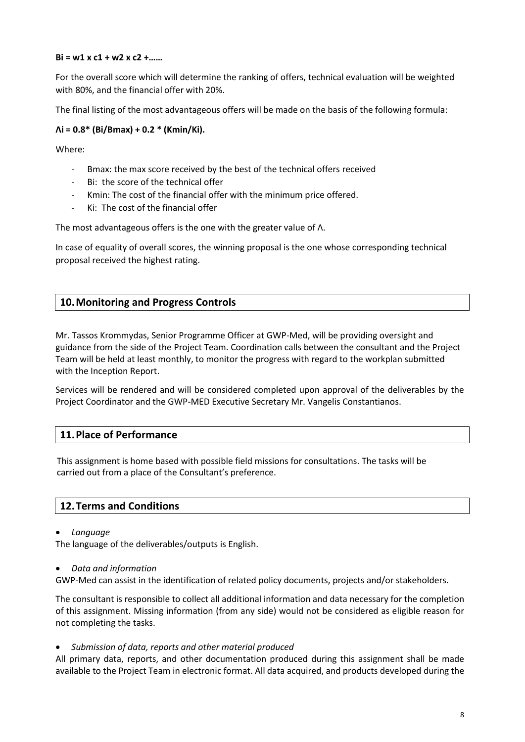#### **Bi = w1 x c1 + w2 x c2 +……**

For the overall score which will determine the ranking of offers, technical evaluation will be weighted with 80%, and the financial offer with 20%.

The final listing of the most advantageous offers will be made on the basis of the following formula:

### **Λi = 0.8\* (Bi/Bmax) + 0.2 \* (Kmin/Ki).**

Where:

- Bmax: the max score received by the best of the technical offers received
- Bi: the score of the technical offer
- Kmin: The cost of the financial offer with the minimum price offered.
- Ki: The cost of the financial offer

The most advantageous offers is the one with the greater value of Λ.

In case of equality of overall scores, the winning proposal is the one whose corresponding technical proposal received the highest rating.

### **10.Monitoring and Progress Controls**

Mr. Tassos Krommydas, Senior Programme Officer at GWP-Med, will be providing oversight and guidance from the side of the Project Team. Coordination calls between the consultant and the Project Team will be held at least monthly, to monitor the progress with regard to the workplan submitted with the Inception Report.

Services will be rendered and will be considered completed upon approval of the deliverables by the Project Coordinator and the GWP-MED Executive Secretary Mr. Vangelis Constantianos.

# **11.Place of Performance**

This assignment is home based with possible field missions for consultations. The tasks will be carried out from a place of the Consultant's preference.

#### **12.Terms and Conditions**

• *Language*

The language of the deliverables/outputs is English.

• *Data and information*

GWP-Med can assist in the identification of related policy documents, projects and/or stakeholders.

The consultant is responsible to collect all additional information and data necessary for the completion of this assignment. Missing information (from any side) would not be considered as eligible reason for not completing the tasks.

• *Submission of data, reports and other material produced*

All primary data, reports, and other documentation produced during this assignment shall be made available to the Project Team in electronic format. All data acquired, and products developed during the